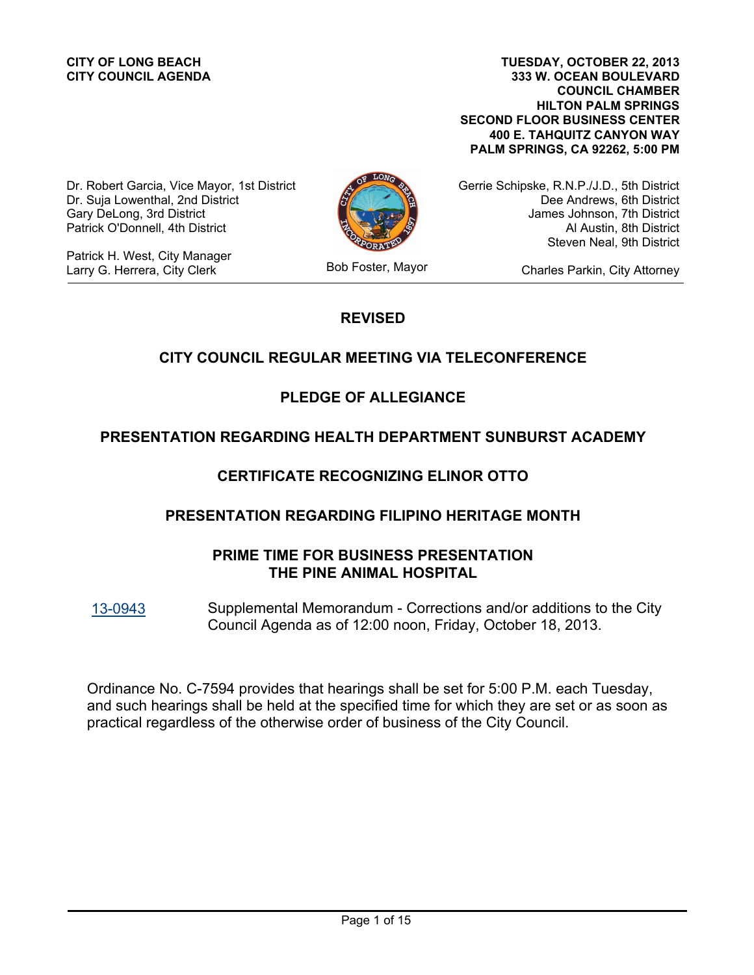**CITY COUNCIL AGENDA**

**333 W. OCEAN BOULEVARD COUNCIL CHAMBER HILTON PALM SPRINGS SECOND FLOOR BUSINESS CENTER 400 E. TAHQUITZ CANYON WAY PALM SPRINGS, CA 92262, 5:00 PM CITY OF LONG BEACH TUESDAY, OCTOBER 22, 2013**

Dr. Robert Garcia, Vice Mayor, 1st District Dr. Suja Lowenthal, 2nd District Gary DeLong, 3rd District Patrick O'Donnell, 4th District

Patrick H. West, City Manager Larry G. Herrera, City Clerk Bob Foster, Mayor

Gerrie Schipske, R.N.P./J.D., 5th District Dee Andrews, 6th District James Johnson, 7th District Al Austin, 8th District Steven Neal, 9th District

Charles Parkin, City Attorney

# **REVISED**

# **CITY COUNCIL REGULAR MEETING VIA TELECONFERENCE**

# **PLEDGE OF ALLEGIANCE**

# **PRESENTATION REGARDING HEALTH DEPARTMENT SUNBURST ACADEMY**

# **CERTIFICATE RECOGNIZING ELINOR OTTO**

## **PRESENTATION REGARDING FILIPINO HERITAGE MONTH**

# **PRIME TIME FOR BUSINESS PRESENTATION THE PINE ANIMAL HOSPITAL**

Supplemental Memorandum - Corrections and/or additions to the City Council Agenda as of 12:00 noon, Friday, October 18, 2013. [13-0943](http://longbeach.legistar.com/gateway.aspx?M=L&ID=202273)

Ordinance No. C-7594 provides that hearings shall be set for 5:00 P.M. each Tuesday, and such hearings shall be held at the specified time for which they are set or as soon as practical regardless of the otherwise order of business of the City Council.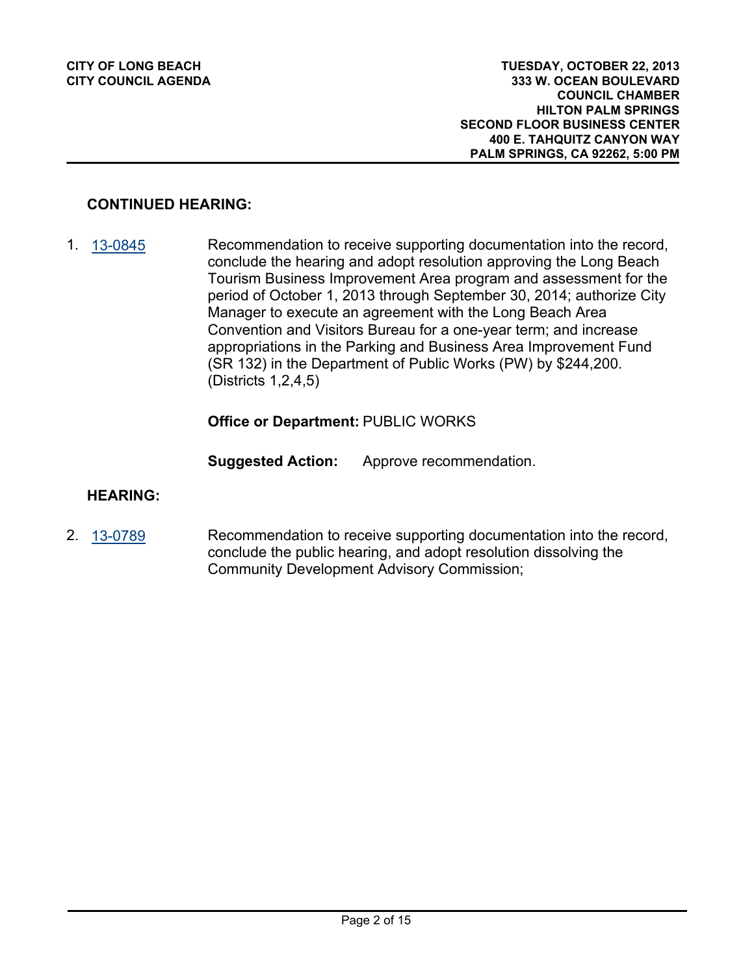## **CONTINUED HEARING:**

Recommendation to receive supporting documentation into the record, conclude the hearing and adopt resolution approving the Long Beach Tourism Business Improvement Area program and assessment for the period of October 1, 2013 through September 30, 2014; authorize City Manager to execute an agreement with the Long Beach Area Convention and Visitors Bureau for a one-year term; and increase appropriations in the Parking and Business Area Improvement Fund (SR 132) in the Department of Public Works (PW) by \$244,200. (Districts 1,2,4,5) 1. [13-0845](http://longbeach.legistar.com/gateway.aspx?M=L&ID=202006)

#### **Office or Department:** PUBLIC WORKS

**Suggested Action:** Approve recommendation.

#### **HEARING:**

Recommendation to receive supporting documentation into the record, conclude the public hearing, and adopt resolution dissolving the Community Development Advisory Commission; 2. [13-0789](http://longbeach.legistar.com/gateway.aspx?M=L&ID=201440)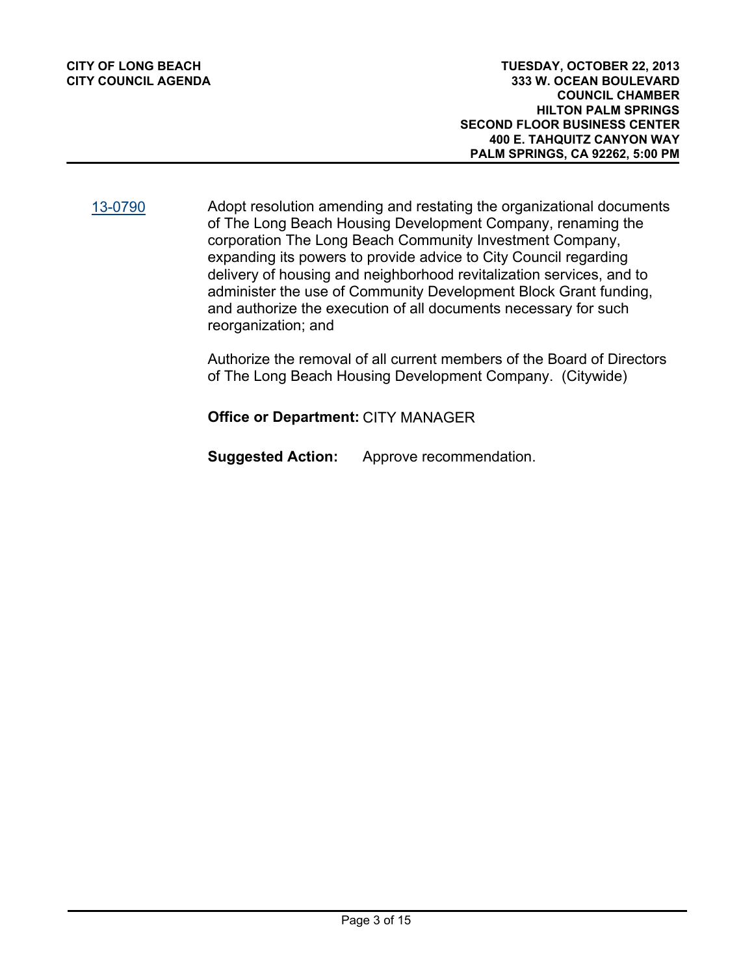[13-0790](http://longbeach.legistar.com/gateway.aspx?M=L&ID=201915)

Adopt resolution amending and restating the organizational documents of The Long Beach Housing Development Company, renaming the corporation The Long Beach Community Investment Company, expanding its powers to provide advice to City Council regarding delivery of housing and neighborhood revitalization services, and to administer the use of Community Development Block Grant funding, and authorize the execution of all documents necessary for such reorganization; and

Authorize the removal of all current members of the Board of Directors of The Long Beach Housing Development Company. (Citywide)

**Office or Department:** CITY MANAGER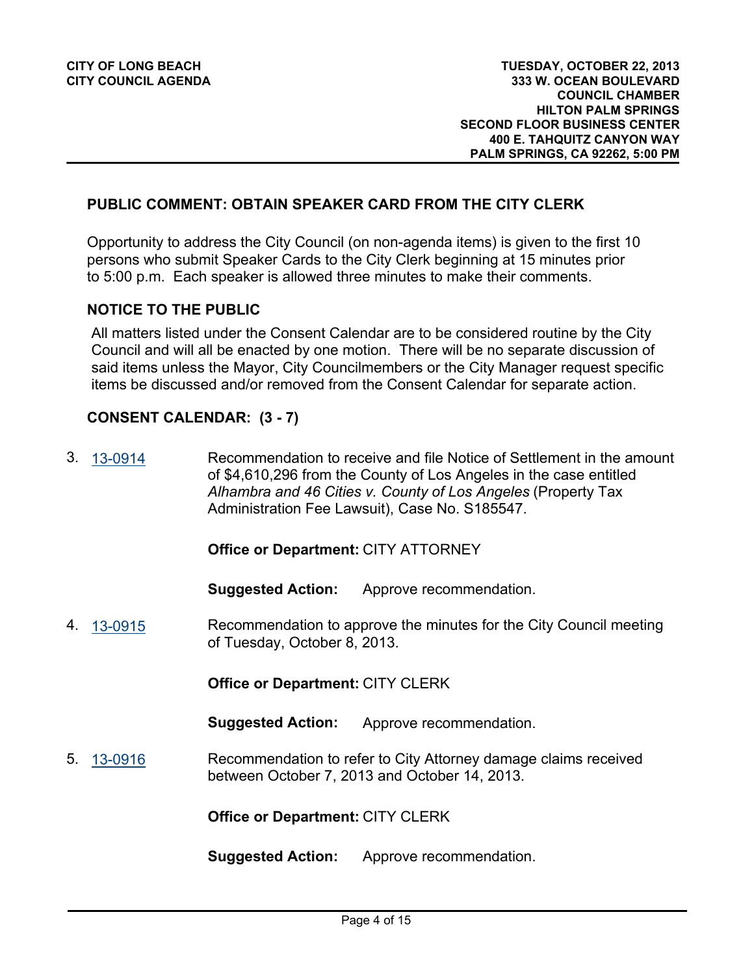#### **PUBLIC COMMENT: OBTAIN SPEAKER CARD FROM THE CITY CLERK**

Opportunity to address the City Council (on non-agenda items) is given to the first 10 persons who submit Speaker Cards to the City Clerk beginning at 15 minutes prior to 5:00 p.m. Each speaker is allowed three minutes to make their comments.

#### **NOTICE TO THE PUBLIC**

All matters listed under the Consent Calendar are to be considered routine by the City Council and will all be enacted by one motion. There will be no separate discussion of said items unless the Mayor, City Councilmembers or the City Manager request specific items be discussed and/or removed from the Consent Calendar for separate action.

#### **CONSENT CALENDAR: (3 - 7)**

Recommendation to receive and file Notice of Settlement in the amount of \$4,610,296 from the County of Los Angeles in the case entitled *Alhambra and 46 Cities v. County of Los Angeles* (Property Tax Administration Fee Lawsuit), Case No. S185547. 3. [13-0914](http://longbeach.legistar.com/gateway.aspx?M=L&ID=202207)

#### **Office or Department:** CITY ATTORNEY

**Suggested Action:** Approve recommendation.

Recommendation to approve the minutes for the City Council meeting of Tuesday, October 8, 2013. 4. [13-0915](http://longbeach.legistar.com/gateway.aspx?M=L&ID=202209)

**Office or Department:** CITY CLERK

**Suggested Action:** Approve recommendation.

Recommendation to refer to City Attorney damage claims received between October 7, 2013 and October 14, 2013. 5. [13-0916](http://longbeach.legistar.com/gateway.aspx?M=L&ID=202210)

**Office or Department:** CITY CLERK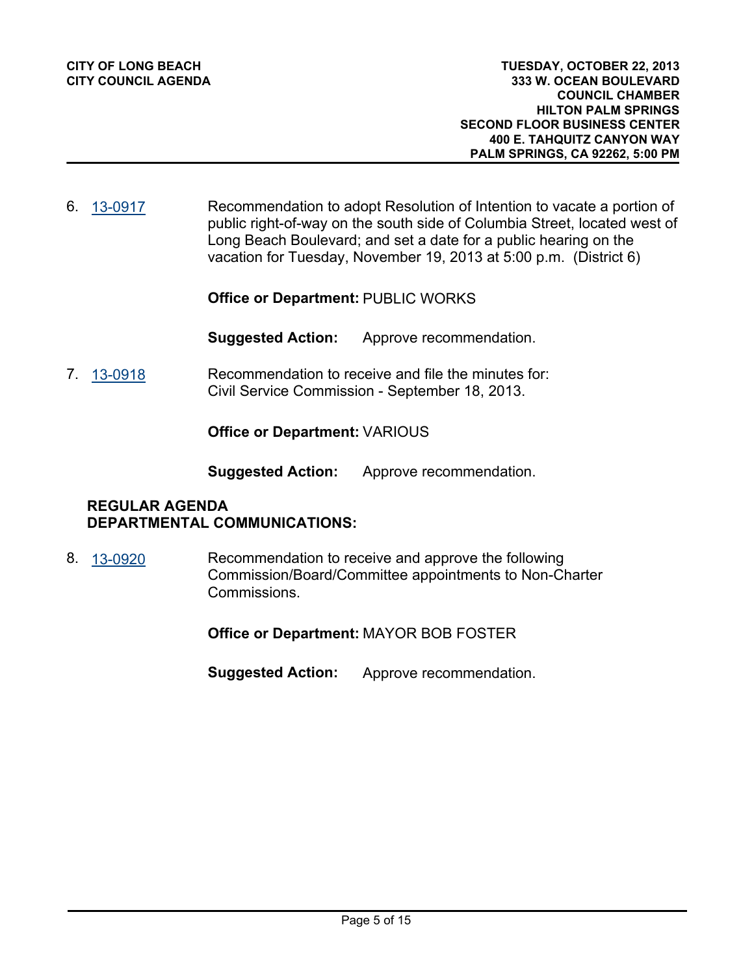Recommendation to adopt Resolution of Intention to vacate a portion of public right-of-way on the south side of Columbia Street, located west of Long Beach Boulevard; and set a date for a public hearing on the vacation for Tuesday, November 19, 2013 at 5:00 p.m. (District 6) 6. [13-0917](http://longbeach.legistar.com/gateway.aspx?M=L&ID=202152)

**Office or Department:** PUBLIC WORKS

**Suggested Action:** Approve recommendation.

Recommendation to receive and file the minutes for: Civil Service Commission - September 18, 2013. 7. [13-0918](http://longbeach.legistar.com/gateway.aspx?M=L&ID=202223)

**Office or Department:** VARIOUS

**Suggested Action:** Approve recommendation.

# **REGULAR AGENDA DEPARTMENTAL COMMUNICATIONS:**

Recommendation to receive and approve the following Commission/Board/Committee appointments to Non-Charter Commissions. 8. [13-0920](http://longbeach.legistar.com/gateway.aspx?M=L&ID=202230)

**Office or Department:** MAYOR BOB FOSTER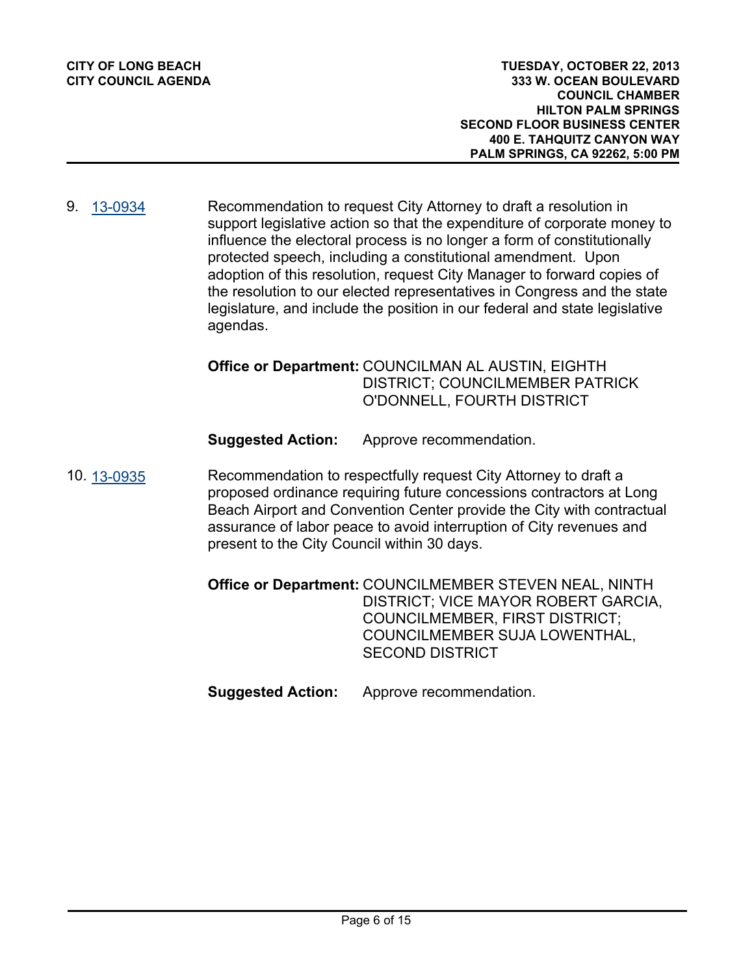**333 W. OCEAN BOULEVARD COUNCIL CHAMBER HILTON PALM SPRINGS SECOND FLOOR BUSINESS CENTER 400 E. TAHQUITZ CANYON WAY PALM SPRINGS, CA 92262, 5:00 PM TUESDAY, OCTOBER 22, 2013**

Recommendation to request City Attorney to draft a resolution in support legislative action so that the expenditure of corporate money to influence the electoral process is no longer a form of constitutionally protected speech, including a constitutional amendment. Upon adoption of this resolution, request City Manager to forward copies of the resolution to our elected representatives in Congress and the state legislature, and include the position in our federal and state legislative agendas. 9. [13-0934](http://longbeach.legistar.com/gateway.aspx?M=L&ID=202237)

## Office or Department: COUNCILMAN AL AUSTIN, EIGHTH DISTRICT; COUNCILMEMBER PATRICK O'DONNELL, FOURTH DISTRICT

**Suggested Action:** Approve recommendation.

Recommendation to respectfully request City Attorney to draft a proposed ordinance requiring future concessions contractors at Long Beach Airport and Convention Center provide the City with contractual assurance of labor peace to avoid interruption of City revenues and present to the City Council within 30 days. 10. [13-0935](http://longbeach.legistar.com/gateway.aspx?M=L&ID=202239)

> Office or Department: COUNCILMEMBER STEVEN NEAL, NINTH DISTRICT; VICE MAYOR ROBERT GARCIA, COUNCILMEMBER, FIRST DISTRICT; COUNCILMEMBER SUJA LOWENTHAL, SECOND DISTRICT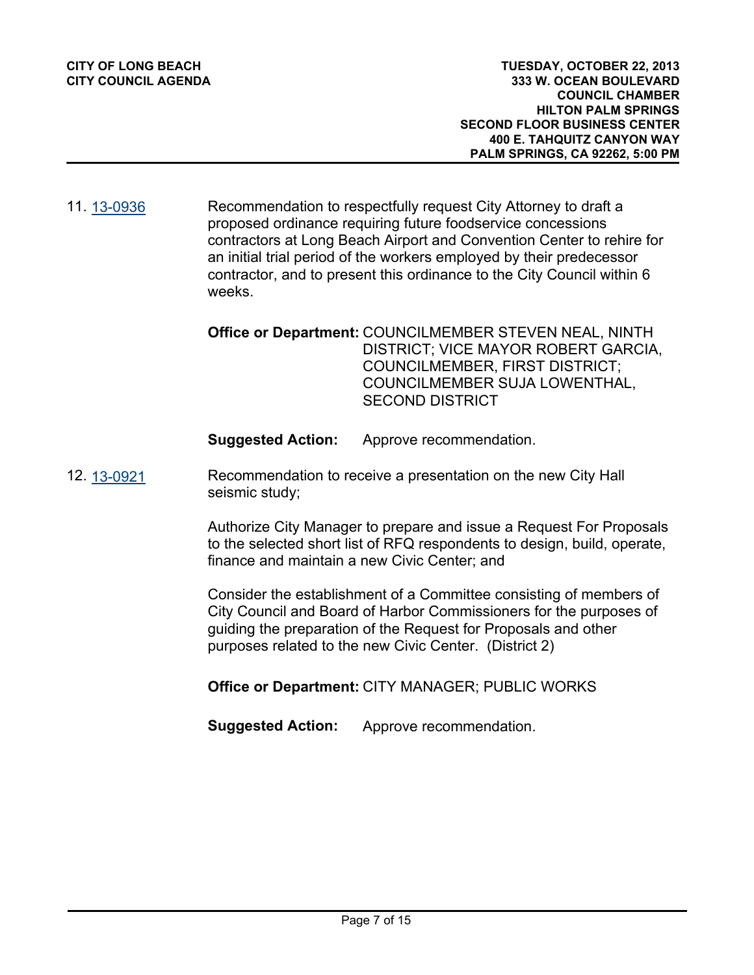Recommendation to respectfully request City Attorney to draft a proposed ordinance requiring future foodservice concessions contractors at Long Beach Airport and Convention Center to rehire for an initial trial period of the workers employed by their predecessor contractor, and to present this ordinance to the City Council within 6 weeks. 11. [13-0936](http://longbeach.legistar.com/gateway.aspx?M=L&ID=202240)

> Office or Department: COUNCILMEMBER STEVEN NEAL, NINTH DISTRICT; VICE MAYOR ROBERT GARCIA, COUNCILMEMBER, FIRST DISTRICT; COUNCILMEMBER SUJA LOWENTHAL, SECOND DISTRICT

**Suggested Action:** Approve recommendation.

Recommendation to receive a presentation on the new City Hall seismic study; 12. [13-0921](http://longbeach.legistar.com/gateway.aspx?M=L&ID=202186)

> Authorize City Manager to prepare and issue a Request For Proposals to the selected short list of RFQ respondents to design, build, operate, finance and maintain a new Civic Center; and

Consider the establishment of a Committee consisting of members of City Council and Board of Harbor Commissioners for the purposes of guiding the preparation of the Request for Proposals and other purposes related to the new Civic Center. (District 2)

**Office or Department:** CITY MANAGER; PUBLIC WORKS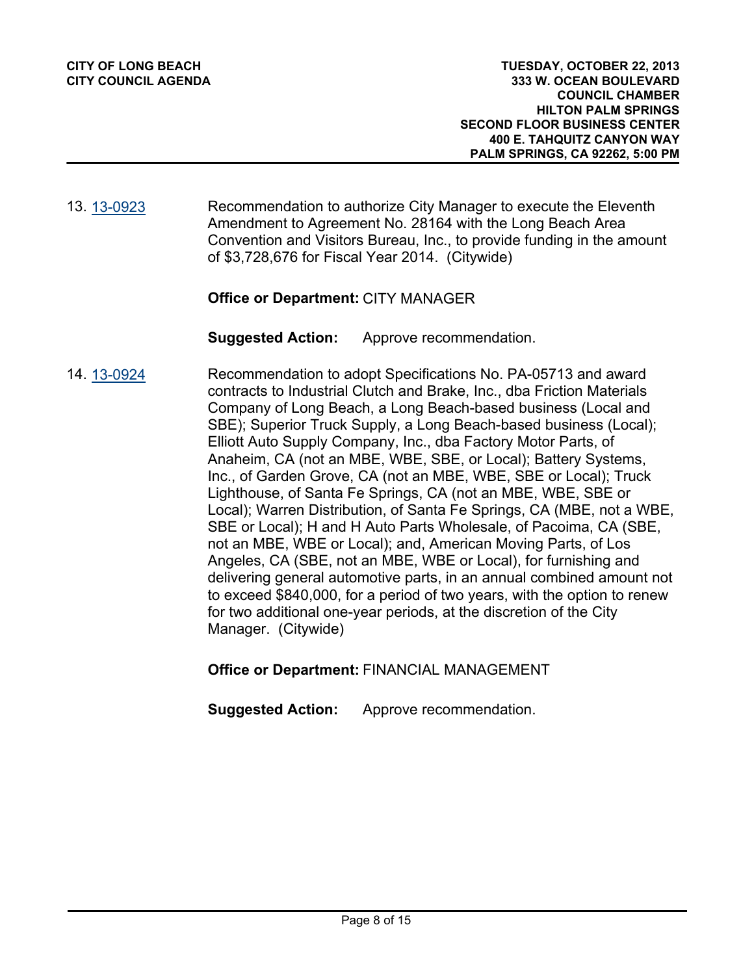#### Recommendation to authorize City Manager to execute the Eleventh Amendment to Agreement No. 28164 with the Long Beach Area Convention and Visitors Bureau, Inc., to provide funding in the amount of \$3,728,676 for Fiscal Year 2014. (Citywide) 13. [13-0923](http://longbeach.legistar.com/gateway.aspx?M=L&ID=202144)

## **Office or Department:** CITY MANAGER

**Suggested Action:** Approve recommendation.

Recommendation to adopt Specifications No. PA-05713 and award contracts to Industrial Clutch and Brake, Inc., dba Friction Materials Company of Long Beach, a Long Beach-based business (Local and SBE); Superior Truck Supply, a Long Beach-based business (Local); Elliott Auto Supply Company, Inc., dba Factory Motor Parts, of Anaheim, CA (not an MBE, WBE, SBE, or Local); Battery Systems, Inc., of Garden Grove, CA (not an MBE, WBE, SBE or Local); Truck Lighthouse, of Santa Fe Springs, CA (not an MBE, WBE, SBE or Local); Warren Distribution, of Santa Fe Springs, CA (MBE, not a WBE, SBE or Local); H and H Auto Parts Wholesale, of Pacoima, CA (SBE, not an MBE, WBE or Local); and, American Moving Parts, of Los Angeles, CA (SBE, not an MBE, WBE or Local), for furnishing and delivering general automotive parts, in an annual combined amount not to exceed \$840,000, for a period of two years, with the option to renew for two additional one-year periods, at the discretion of the City Manager. (Citywide) 14. [13-0924](http://longbeach.legistar.com/gateway.aspx?M=L&ID=202146)

**Office or Department:** FINANCIAL MANAGEMENT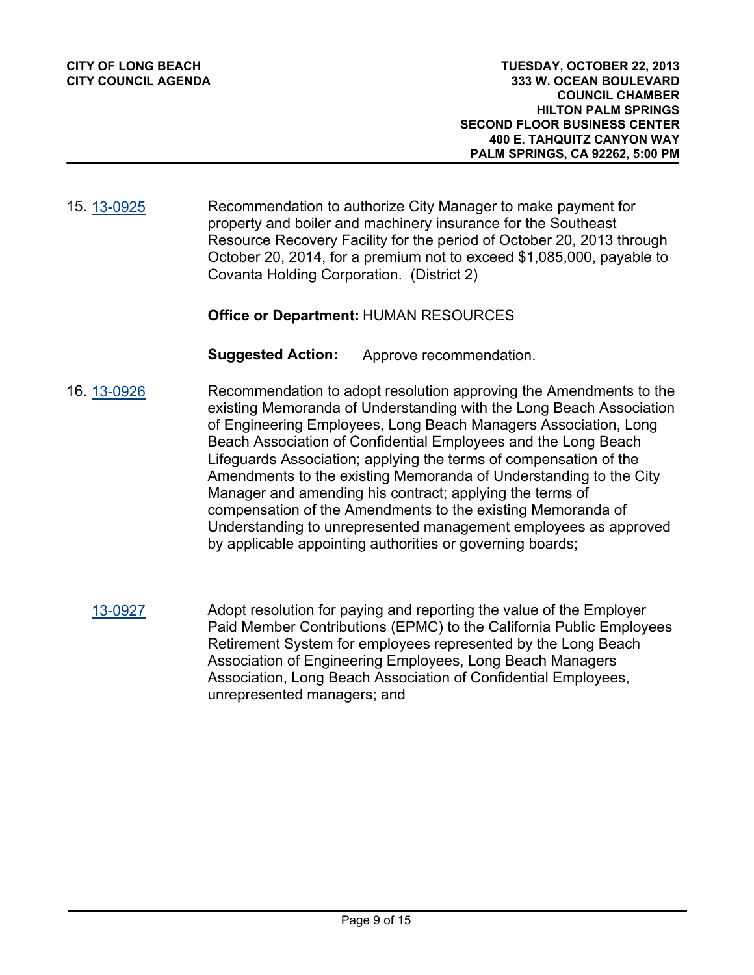Recommendation to authorize City Manager to make payment for property and boiler and machinery insurance for the Southeast Resource Recovery Facility for the period of October 20, 2013 through October 20, 2014, for a premium not to exceed \$1,085,000, payable to Covanta Holding Corporation. (District 2) 15. [13-0925](http://longbeach.legistar.com/gateway.aspx?M=L&ID=202150)

## **Office or Department:** HUMAN RESOURCES

- Recommendation to adopt resolution approving the Amendments to the existing Memoranda of Understanding with the Long Beach Association of Engineering Employees, Long Beach Managers Association, Long Beach Association of Confidential Employees and the Long Beach Lifeguards Association; applying the terms of compensation of the Amendments to the existing Memoranda of Understanding to the City Manager and amending his contract; applying the terms of compensation of the Amendments to the existing Memoranda of Understanding to unrepresented management employees as approved by applicable appointing authorities or governing boards; 16. [13-0926](http://longbeach.legistar.com/gateway.aspx?M=L&ID=202147)
	- Adopt resolution for paying and reporting the value of the Employer Paid Member Contributions (EPMC) to the California Public Employees Retirement System for employees represented by the Long Beach Association of Engineering Employees, Long Beach Managers Association, Long Beach Association of Confidential Employees, unrepresented managers; and [13-0927](http://longbeach.legistar.com/gateway.aspx?M=L&ID=202233)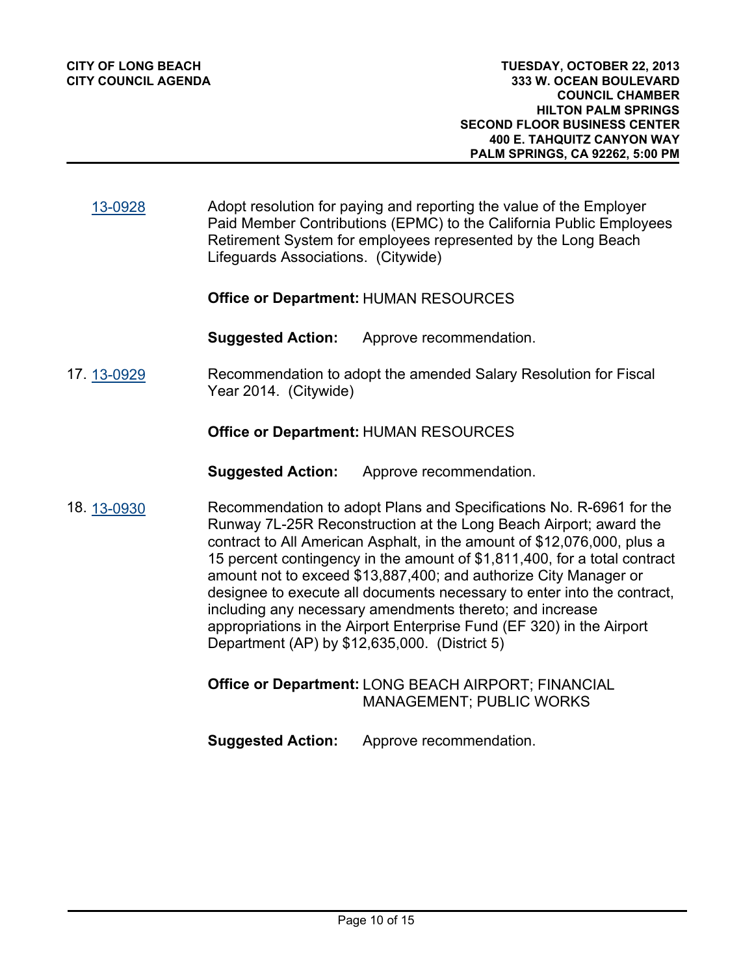Adopt resolution for paying and reporting the value of the Employer Paid Member Contributions (EPMC) to the California Public Employees Retirement System for employees represented by the Long Beach Lifeguards Associations. (Citywide) [13-0928](http://longbeach.legistar.com/gateway.aspx?M=L&ID=202235)

#### **Office or Department:** HUMAN RESOURCES

**Suggested Action:** Approve recommendation.

#### Recommendation to adopt the amended Salary Resolution for Fiscal Year 2014. (Citywide) 17. [13-0929](http://longbeach.legistar.com/gateway.aspx?M=L&ID=202148)

#### **Office or Department:** HUMAN RESOURCES

**Suggested Action:** Approve recommendation.

Recommendation to adopt Plans and Specifications No. R-6961 for the Runway 7L-25R Reconstruction at the Long Beach Airport; award the contract to All American Asphalt, in the amount of \$12,076,000, plus a 15 percent contingency in the amount of \$1,811,400, for a total contract amount not to exceed \$13,887,400; and authorize City Manager or designee to execute all documents necessary to enter into the contract, including any necessary amendments thereto; and increase appropriations in the Airport Enterprise Fund (EF 320) in the Airport Department (AP) by \$12,635,000. (District 5) 18. [13-0930](http://longbeach.legistar.com/gateway.aspx?M=L&ID=202151)

## Office or Department: LONG BEACH AIRPORT; FINANCIAL MANAGEMENT; PUBLIC WORKS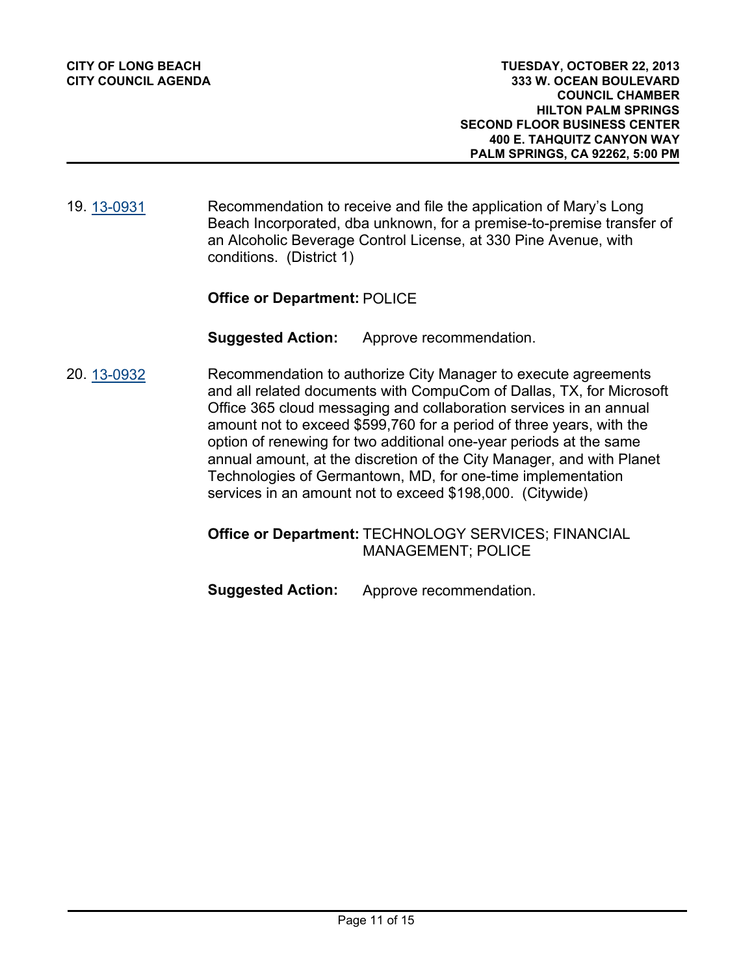Recommendation to receive and file the application of Mary's Long Beach Incorporated, dba unknown, for a premise-to-premise transfer of an Alcoholic Beverage Control License, at 330 Pine Avenue, with conditions. (District 1) 19. [13-0931](http://longbeach.legistar.com/gateway.aspx?M=L&ID=202184)

## **Office or Department:** POLICE

**Suggested Action:** Approve recommendation.

Recommendation to authorize City Manager to execute agreements and all related documents with CompuCom of Dallas, TX, for Microsoft Office 365 cloud messaging and collaboration services in an annual amount not to exceed \$599,760 for a period of three years, with the option of renewing for two additional one-year periods at the same annual amount, at the discretion of the City Manager, and with Planet Technologies of Germantown, MD, for one-time implementation services in an amount not to exceed \$198,000. (Citywide) 20. [13-0932](http://longbeach.legistar.com/gateway.aspx?M=L&ID=202153)

## Office or Department: TECHNOLOGY SERVICES; FINANCIAL MANAGEMENT; POLICE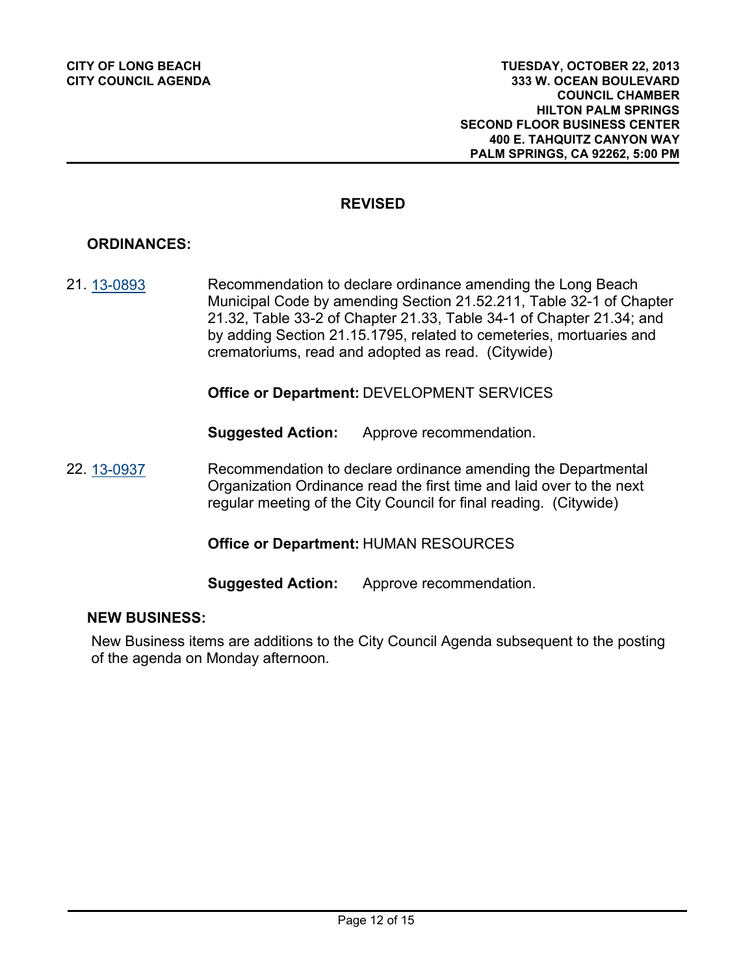## **REVISED**

# **ORDINANCES:**

Recommendation to declare ordinance amending the Long Beach Municipal Code by amending Section 21.52.211, Table 32-1 of Chapter 21.32, Table 33-2 of Chapter 21.33, Table 34-1 of Chapter 21.34; and by adding Section 21.15.1795, related to cemeteries, mortuaries and crematoriums, read and adopted as read. (Citywide) 21. [13-0893](http://longbeach.legistar.com/gateway.aspx?M=L&ID=202095)

**Office or Department:** DEVELOPMENT SERVICES

**Suggested Action:** Approve recommendation.

Recommendation to declare ordinance amending the Departmental Organization Ordinance read the first time and laid over to the next regular meeting of the City Council for final reading. (Citywide) 22. [13-0937](http://longbeach.legistar.com/gateway.aspx?M=L&ID=202149)

**Office or Department:** HUMAN RESOURCES

**Suggested Action:** Approve recommendation.

#### **NEW BUSINESS:**

New Business items are additions to the City Council Agenda subsequent to the posting of the agenda on Monday afternoon.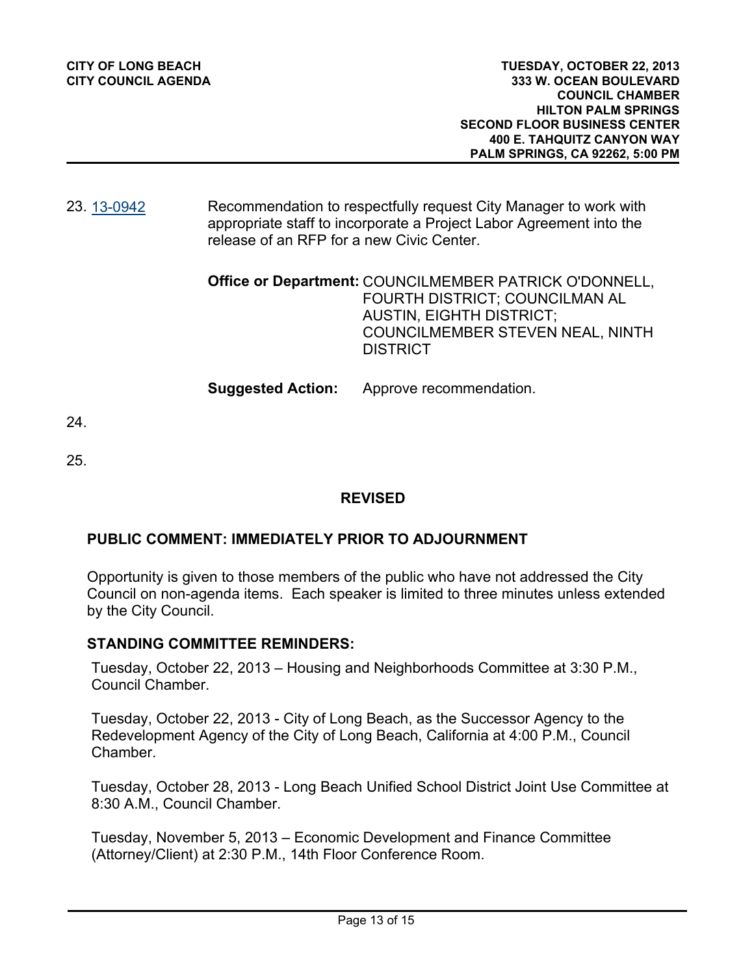| <b>CITY OF LONG BEACH</b>  | TUESDAY, OCTOBER 22, 2013                                        |
|----------------------------|------------------------------------------------------------------|
| <b>CITY COUNCIL AGENDA</b> | 333 W. OCEAN BOULEVARD                                           |
|                            | <b>COUNCIL CHAMBER</b>                                           |
|                            | <b>HILTON PALM SPRINGS</b>                                       |
|                            | <b>SECOND FLOOR BUSINESS CENTER</b>                              |
|                            | <b>400 E. TAHQUITZ CANYON WAY</b>                                |
|                            | <b>PALM SPRINGS, CA 92262, 5:00 PM</b>                           |
|                            |                                                                  |
|                            |                                                                  |
| 23.13-0942                 | Recommendation to respectfully request City Manager to work with |

#### Recommendation to respectfully request City Manager to work with appropriate staff to incorporate a Project Labor Agreement into the release of an RFP for a new Civic Center. 23. <u>[13-0942](http://longbeach.legistar.com/gateway.aspx?M=L&ID=202272)</u>

| Office or Department: COUNCILMEMBER PATRICK O'DONNELL, |
|--------------------------------------------------------|
| FOURTH DISTRICT: COUNCILMAN AL                         |
| <b>AUSTIN, EIGHTH DISTRICT;</b>                        |
| COUNCILMEMBER STEVEN NEAL, NINTH                       |
| <b>DISTRICT</b>                                        |
|                                                        |

**Suggested Action:** Approve recommendation.

24.

25.

## **REVISED**

## **PUBLIC COMMENT: IMMEDIATELY PRIOR TO ADJOURNMENT**

Opportunity is given to those members of the public who have not addressed the City Council on non-agenda items. Each speaker is limited to three minutes unless extended by the City Council.

#### **STANDING COMMITTEE REMINDERS:**

Tuesday, October 22, 2013 – Housing and Neighborhoods Committee at 3:30 P.M., Council Chamber.

Tuesday, October 22, 2013 - City of Long Beach, as the Successor Agency to the Redevelopment Agency of the City of Long Beach, California at 4:00 P.M., Council Chamber.

Tuesday, October 28, 2013 - Long Beach Unified School District Joint Use Committee at 8:30 A.M., Council Chamber.

Tuesday, November 5, 2013 – Economic Development and Finance Committee (Attorney/Client) at 2:30 P.M., 14th Floor Conference Room.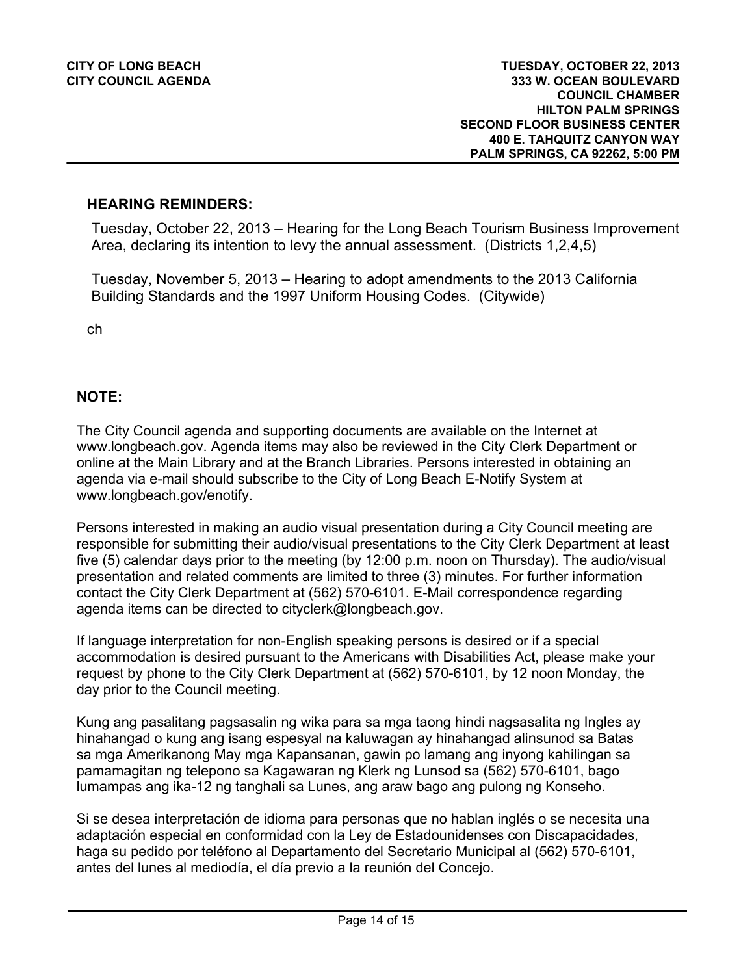#### **HEARING REMINDERS:**

Tuesday, October 22, 2013 – Hearing for the Long Beach Tourism Business Improvement Area, declaring its intention to levy the annual assessment. (Districts 1,2,4,5)

Tuesday, November 5, 2013 – Hearing to adopt amendments to the 2013 California Building Standards and the 1997 Uniform Housing Codes. (Citywide)

ch

## **NOTE:**

The City Council agenda and supporting documents are available on the Internet at www.longbeach.gov. Agenda items may also be reviewed in the City Clerk Department or online at the Main Library and at the Branch Libraries. Persons interested in obtaining an agenda via e-mail should subscribe to the City of Long Beach E-Notify System at www.longbeach.gov/enotify.

Persons interested in making an audio visual presentation during a City Council meeting are responsible for submitting their audio/visual presentations to the City Clerk Department at least five (5) calendar days prior to the meeting (by 12:00 p.m. noon on Thursday). The audio/visual presentation and related comments are limited to three (3) minutes. For further information contact the City Clerk Department at (562) 570-6101. E-Mail correspondence regarding agenda items can be directed to cityclerk@longbeach.gov.

If language interpretation for non-English speaking persons is desired or if a special accommodation is desired pursuant to the Americans with Disabilities Act, please make your request by phone to the City Clerk Department at (562) 570-6101, by 12 noon Monday, the day prior to the Council meeting.

Kung ang pasalitang pagsasalin ng wika para sa mga taong hindi nagsasalita ng Ingles ay hinahangad o kung ang isang espesyal na kaluwagan ay hinahangad alinsunod sa Batas sa mga Amerikanong May mga Kapansanan, gawin po lamang ang inyong kahilingan sa pamamagitan ng telepono sa Kagawaran ng Klerk ng Lunsod sa (562) 570-6101, bago lumampas ang ika-12 ng tanghali sa Lunes, ang araw bago ang pulong ng Konseho.

Si se desea interpretación de idioma para personas que no hablan inglés o se necesita una adaptación especial en conformidad con la Ley de Estadounidenses con Discapacidades, haga su pedido por teléfono al Departamento del Secretario Municipal al (562) 570-6101, antes del lunes al mediodía, el día previo a la reunión del Concejo.